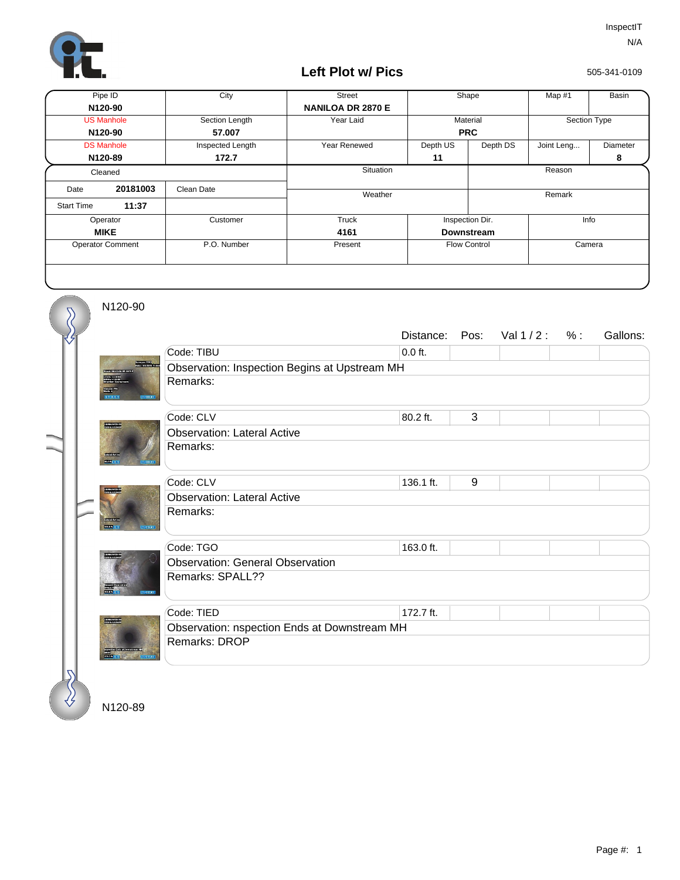

## **Left Plot w/ Pics**

505-341-0109

| Pipe ID                 |          | City             | <b>Street</b>            | Shape               |          | Map #1       | Basin    |
|-------------------------|----------|------------------|--------------------------|---------------------|----------|--------------|----------|
| N120-90                 |          |                  | <b>NANILOA DR 2870 E</b> |                     |          |              |          |
| <b>US Manhole</b>       |          | Section Length   | Year Laid                | Material            |          | Section Type |          |
| N120-90                 |          | 57.007           |                          | <b>PRC</b>          |          |              |          |
| <b>DS Manhole</b>       |          | Inspected Length | Year Renewed             | Depth US            | Depth DS | Joint Leng   | Diameter |
| N120-89                 |          | 172.7            |                          | 11                  |          |              | 8        |
| Cleaned                 |          |                  | Situation                |                     |          | Reason       |          |
| Date                    | 20181003 | Clean Date       | Weather                  |                     |          | Remark       |          |
| <b>Start Time</b>       | 11:37    |                  |                          |                     |          |              |          |
| Operator                |          | Customer         | Truck                    | Inspection Dir.     |          | Info         |          |
| <b>MIKE</b>             |          |                  | 4161                     | <b>Downstream</b>   |          |              |          |
| <b>Operator Comment</b> |          | P.O. Number      | Present                  | <b>Flow Control</b> |          | Camera       |          |
|                         |          |                  |                          |                     |          |              |          |

N120-90

 $\overline{\mathcal{S}}$ 

|             |                                              | Distance:                                     | Pos: | Val $1/2$ : | % : | Gallons: |  |  |  |
|-------------|----------------------------------------------|-----------------------------------------------|------|-------------|-----|----------|--|--|--|
|             | Code: TIBU                                   | $0.0$ ft.                                     |      |             |     |          |  |  |  |
|             |                                              | Observation: Inspection Begins at Upstream MH |      |             |     |          |  |  |  |
|             | Remarks:                                     |                                               |      |             |     |          |  |  |  |
|             | Code: CLV                                    | 80.2 ft.                                      | 3    |             |     |          |  |  |  |
|             | <b>Observation: Lateral Active</b>           |                                               |      |             |     |          |  |  |  |
|             | Remarks:                                     |                                               |      |             |     |          |  |  |  |
|             | Code: CLV                                    | 136.1 ft.                                     | 9    |             |     |          |  |  |  |
|             | <b>Observation: Lateral Active</b>           |                                               |      |             |     |          |  |  |  |
| <b>COMP</b> | Remarks:                                     |                                               |      |             |     |          |  |  |  |
|             | Code: TGO                                    | 163.0 ft.                                     |      |             |     |          |  |  |  |
|             | <b>Observation: General Observation</b>      |                                               |      |             |     |          |  |  |  |
|             | Remarks: SPALL??                             |                                               |      |             |     |          |  |  |  |
|             | Code: TIED                                   | 172.7 ft.                                     |      |             |     |          |  |  |  |
|             | Observation: nspection Ends at Downstream MH |                                               |      |             |     |          |  |  |  |
|             | Remarks: DROP                                |                                               |      |             |     |          |  |  |  |
|             |                                              |                                               |      |             |     |          |  |  |  |

N120-89

 $\{ \}$